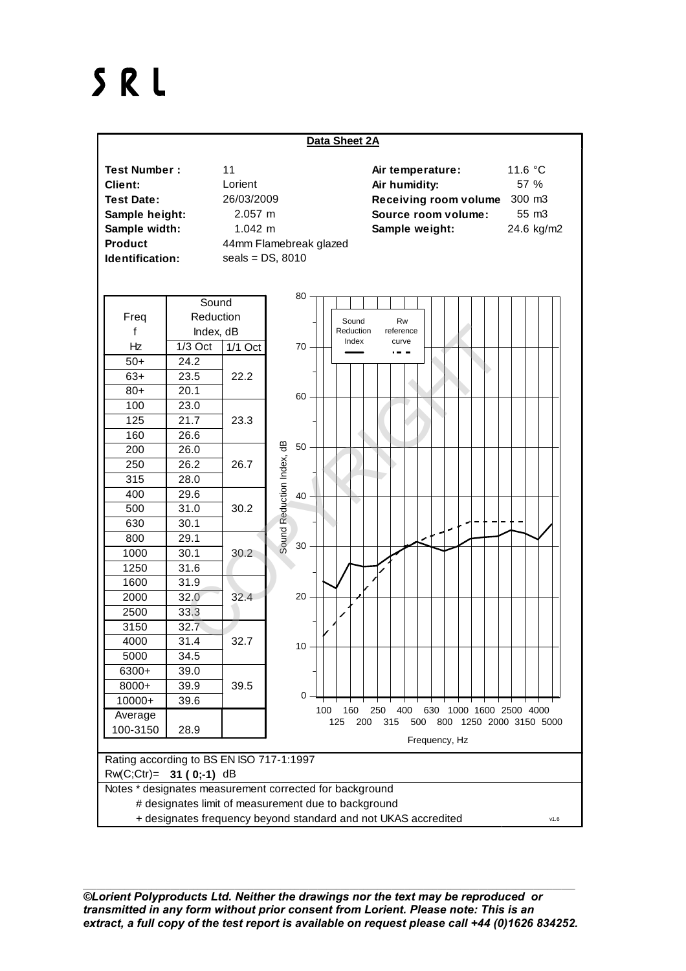## SRL



*©Lorient Polyproducts Ltd. Neither the drawings nor the text may be reproduced or transmitted in any form without prior consent from Lorient. Please note: This is an extract, a full copy of the test report is available on request please call +44 (0)1626 834252.*

\_\_\_\_\_\_\_\_\_\_\_\_\_\_\_\_\_\_\_\_\_\_\_\_\_\_\_\_\_\_\_\_\_\_\_\_\_\_\_\_\_\_\_\_\_\_\_\_\_\_\_\_\_\_\_\_\_\_\_\_\_\_\_\_\_\_\_\_\_\_\_\_\_\_\_\_\_\_\_\_\_\_\_\_\_\_\_\_\_\_\_\_\_\_\_\_\_\_\_\_\_\_\_\_\_\_\_